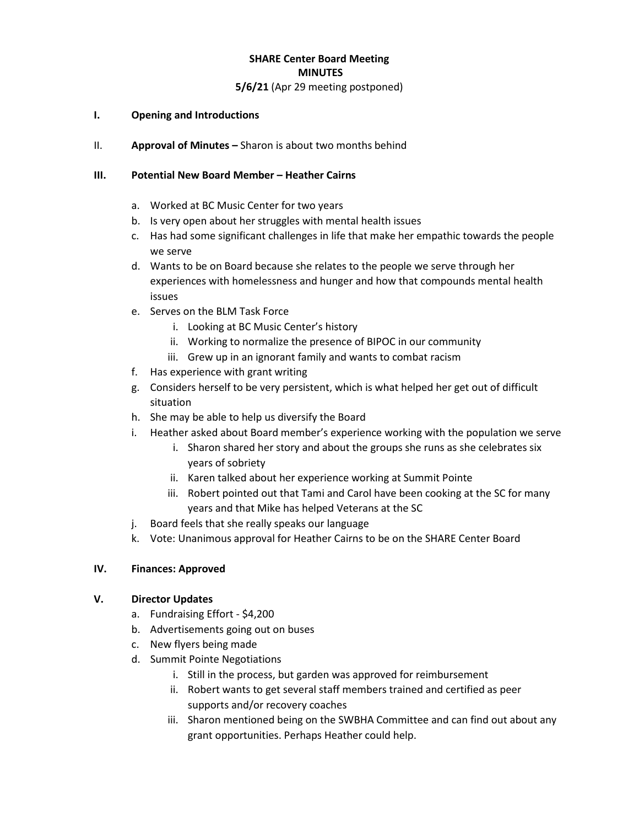# **SHARE Center Board Meeting MINUTES**

## **5/6/21** (Apr 29 meeting postponed)

#### **I. Opening and Introductions**

II. **Approval of Minutes –** Sharon is about two months behind

#### **III. Potential New Board Member – Heather Cairns**

- a. Worked at BC Music Center for two years
- b. Is very open about her struggles with mental health issues
- c. Has had some significant challenges in life that make her empathic towards the people we serve
- d. Wants to be on Board because she relates to the people we serve through her experiences with homelessness and hunger and how that compounds mental health issues
- e. Serves on the BLM Task Force
	- i. Looking at BC Music Center's history
	- ii. Working to normalize the presence of BIPOC in our community
	- iii. Grew up in an ignorant family and wants to combat racism
- f. Has experience with grant writing
- g. Considers herself to be very persistent, which is what helped her get out of difficult situation
- h. She may be able to help us diversify the Board
- i. Heather asked about Board member's experience working with the population we serve
	- i. Sharon shared her story and about the groups she runs as she celebrates six years of sobriety
	- ii. Karen talked about her experience working at Summit Pointe
	- iii. Robert pointed out that Tami and Carol have been cooking at the SC for many years and that Mike has helped Veterans at the SC
- j. Board feels that she really speaks our language
- k. Vote: Unanimous approval for Heather Cairns to be on the SHARE Center Board

## **IV. Finances: Approved**

## **V. Director Updates**

- a. Fundraising Effort \$4,200
- b. Advertisements going out on buses
- c. New flyers being made
- d. Summit Pointe Negotiations
	- i. Still in the process, but garden was approved for reimbursement
	- ii. Robert wants to get several staff members trained and certified as peer supports and/or recovery coaches
	- iii. Sharon mentioned being on the SWBHA Committee and can find out about any grant opportunities. Perhaps Heather could help.